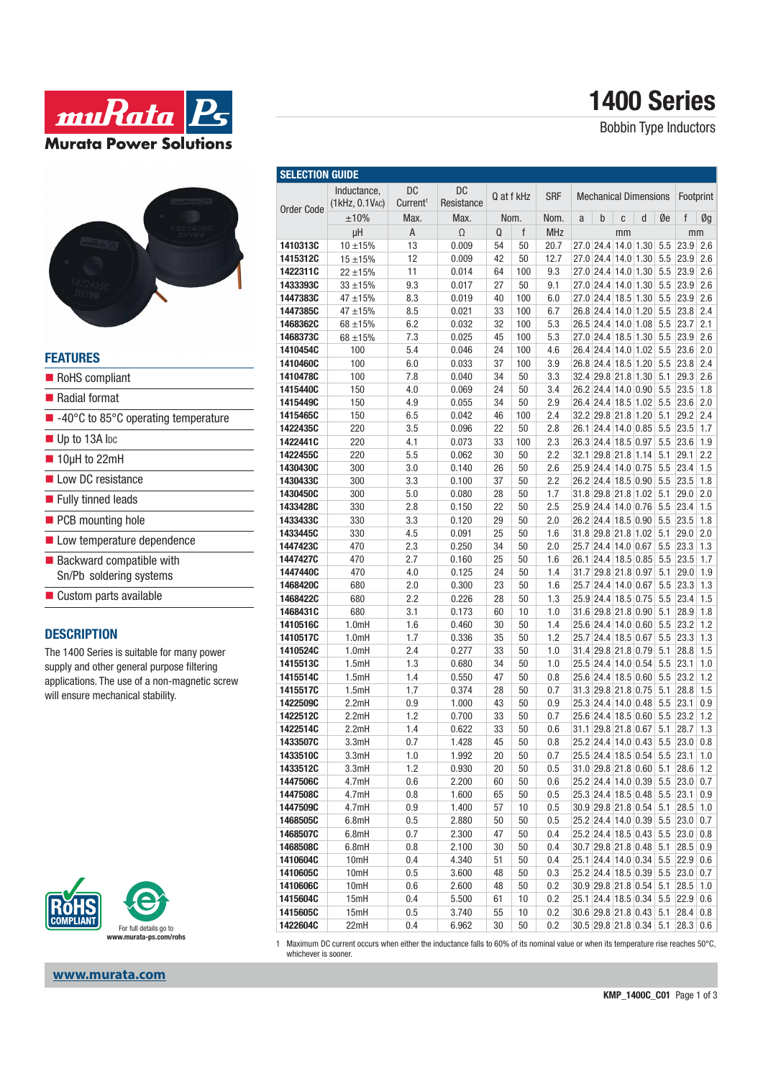

# **1400 Series**

Bobbin Type Inductors



| <b>FEATURES</b>                                                        |
|------------------------------------------------------------------------|
| RoHS compliant                                                         |
| $\blacksquare$ Radial format                                           |
| $\blacksquare$ -40 $\degree$ C to 85 $\degree$ C operating temperature |
| $\blacksquare$ Up to 13A lpc                                           |
| $\blacksquare$ 10µH to 22mH                                            |
| low DC resistance                                                      |
| ■ Fully tinned leads                                                   |
| PCB mounting hole                                                      |
| Low temperature dependence                                             |
| $\blacksquare$ Backward compatible with                                |
| Sn/Pb soldering systems                                                |
| $\blacksquare$ Custom parts available                                  |
|                                                                        |

#### **DESCRIPTION**

The 1400 Series is suitable for many power supply and other general purpose filtering applications. The use of a non-magnetic screw will ensure mechanical stability.



| www.murata.com |  |
|----------------|--|

| <b>DC</b><br>Inductance.<br>DC<br><b>SRF</b><br>Q at f kHz<br><b>Mechanical Dimensions</b><br>(1kHz, 0.1VAC)<br>Current <sup>1</sup><br>Resistance<br><b>Order Code</b><br>±10%<br>d<br>Max.<br>Max.<br>Nom.<br>Nom.<br>b<br>Øe<br>C<br>a<br>$\Omega$<br>f<br><b>MHz</b><br>μH<br>Α<br>Q<br>mm<br>$10 + 15%$<br>13<br>0.009<br>50<br>20.7<br>27.0 24.4 14.0 1.30<br>5.5<br>1410313C<br>54<br>12<br>0.009<br>42<br>50<br>12.7<br>27.0 24.4 14.0 1.30<br>5.5<br>1415312C<br>$15 + 15%$<br>11<br>0.014<br>100<br>9.3<br>27.0 24.4 14.0 1.30<br>5.5<br>1422311C<br>64<br>$22 + 15%$<br>9.3<br>27<br>50<br>9.1<br>27.0 24.4 14.0 1.30<br>5.5<br>1433393C<br>$33 + 15%$<br>0.017<br>5.5<br>47 ±15%<br>8.3<br>0.019<br>40<br>100<br>6.0<br>27.0 24.4 18.5 1.30<br>1447383C<br>26.8 24.4 14.0 1.20 5.5<br>8.5<br>100<br>6.7<br>1447385C<br>$47 + 15%$<br>0.021<br>33<br>6.2<br>32<br>5.3<br>26.5 24.4 14.0 1.08<br>5.5<br>1468362C<br>0.032<br>100<br>68 ±15%<br>7.3<br>0.025<br>45<br>100<br>5.3<br>27.0 24.4 18.5 1.30<br>5.5<br>1468373C<br>68 ±15%<br>26.4 24.4 14.0 1.02 5.5<br>100<br>5.4<br>100<br>4.6<br>1410454C<br>0.046<br>24<br>26.8 24.4 18.5 1.20<br>5.5<br>100<br>6.0<br>0.033<br>37<br>100<br>3.9<br>1410460C<br>32.4 29.8 21.8 1.30<br>100<br>7.8<br>3.3<br>5.1<br>1410478C<br>0.040<br>34<br>50<br>150<br>4.0<br>24<br>3.4<br>26.2 24.4 14.0 0.90<br>5.5<br>1415440C<br>0.069<br>50<br>26.4 24.4 18.5 1.02<br>150<br>4.9<br>0.055<br>34<br>50<br>2.9<br>5.5<br>1415449C<br>32.2 29.8 21.8 1.20<br>150<br>6.5<br>0.042<br>46<br>2.4<br>5.1<br>1415465C<br>100<br>2.8<br>5.5<br>220<br>3.5<br>0.096<br>22<br>50<br>26.1 24.4 14.0 0.85<br>1422435C<br>26.3 24.4 18.5 0.97<br>220<br>4.1<br>33<br>2.3<br>5.5<br>1422441C<br>0.073<br>100<br>220<br>5.5<br>2.2<br>32.1 29.8 21.8 1.14<br>5.1<br>1422455C<br>0.062<br>30<br>50<br>300<br>3.0<br>26<br>2.6<br>25.9 24.4 14.0 0.75<br>5.5<br>1430430C<br>0.140<br>50<br>2.2<br>26.2 24.4 18.5 0.90<br>300<br>3.3<br>0.100<br>37<br>5.5<br>1430433C<br>50<br>31.8 29.8 21.8 1.02<br>5.1<br>300<br>5.0<br>0.080<br>28<br>1.7<br>1430450C<br>50<br>25.9 24.4 14.0 0.76<br>22<br>2.5<br>5.5<br>1433428C<br>330<br>2.8<br>0.150<br>50<br>330<br>3.3<br>2.0<br>26.2 24.4 18.5 0.90<br>5.5<br>1433433C<br>0.120<br>29<br>50<br>31.8 29.8 21.8 1.02<br>330<br>4.5<br>25<br>1.6<br>5.1<br>1433445C<br>0.091<br>50<br>470<br>2.3<br>0.250<br>34<br>2.0<br>25.7 24.4 14.0 0.67<br>5.5<br>1447423C<br>50<br>1.6<br>5.5<br>1447427C<br>470<br>2.7<br>0.160<br>25<br>50<br>26.1 24.4 18.5 0.85<br>31.7 29.8 21.8 0.97<br>470<br>4.0<br>0.125<br>24<br>1.4<br>5.1<br>1447440C<br>50<br>680<br>2.0<br>0.300<br>23<br>1.6<br>25.7 24.4 14.0 0.67<br>5.5<br>1468420C<br>50<br>680<br>2.2<br>0.226<br>28<br>50<br>1.3<br>25.9 24.4 18.5 0.75<br>5.5<br>1468422C<br>31.6 29.8 21.8 0.90<br>680<br>3.1<br>10<br>1.0<br>5.1<br>1468431C<br>0.173<br>60<br>1.4<br>25.6 24.4 14.0 0.60<br>5.5<br>1.0mH<br>1.6<br>0.460<br>30<br>50<br>1410516C<br>1.0mH<br>1.7<br>1.2<br>25.7 24.4 18.5 0.67<br>5.5<br>1410517C<br>0.336<br>35<br>50<br>31.4 29.8 21.8 0.79<br>2.4<br>0.277<br>33<br>1.0<br>5.1<br>1410524C<br>1.0mH<br>50<br>1.5mH<br>1.3<br>0.680<br>34<br>1.0<br>25.5 24.4 14.0 0.54<br>5.5<br>1415513C<br>50<br>1.5mH<br>1.4<br>0.550<br>47<br>0.8<br>25.6 24.4 18.5 0.60<br>5.5<br>1415514C<br>50<br>31.3 29.8 21.8 0.75<br>1.5mH<br>1.7<br>0.374<br>28<br>0.7<br>5.1<br>1415517C<br>50<br>25.3 24.4 14.0 0.48<br>5.5<br>1422509C<br>2.2mH<br>0.9<br>1.000<br>43<br>50<br>0.9 | Footprint<br>f<br>Øg<br>mm<br>23.9<br>2.6<br>2.6<br>23.9<br>23.9<br>2.6 |
|---------------------------------------------------------------------------------------------------------------------------------------------------------------------------------------------------------------------------------------------------------------------------------------------------------------------------------------------------------------------------------------------------------------------------------------------------------------------------------------------------------------------------------------------------------------------------------------------------------------------------------------------------------------------------------------------------------------------------------------------------------------------------------------------------------------------------------------------------------------------------------------------------------------------------------------------------------------------------------------------------------------------------------------------------------------------------------------------------------------------------------------------------------------------------------------------------------------------------------------------------------------------------------------------------------------------------------------------------------------------------------------------------------------------------------------------------------------------------------------------------------------------------------------------------------------------------------------------------------------------------------------------------------------------------------------------------------------------------------------------------------------------------------------------------------------------------------------------------------------------------------------------------------------------------------------------------------------------------------------------------------------------------------------------------------------------------------------------------------------------------------------------------------------------------------------------------------------------------------------------------------------------------------------------------------------------------------------------------------------------------------------------------------------------------------------------------------------------------------------------------------------------------------------------------------------------------------------------------------------------------------------------------------------------------------------------------------------------------------------------------------------------------------------------------------------------------------------------------------------------------------------------------------------------------------------------------------------------------------------------------------------------------------------------------------------------------------------------------------------------------------------------------------------------------------------------------------------------------------------------------------------------------------------------------------------------------------------------------------------------------------------------------------------------------------------------------------------------------------------------------------------|-------------------------------------------------------------------------|
|                                                                                                                                                                                                                                                                                                                                                                                                                                                                                                                                                                                                                                                                                                                                                                                                                                                                                                                                                                                                                                                                                                                                                                                                                                                                                                                                                                                                                                                                                                                                                                                                                                                                                                                                                                                                                                                                                                                                                                                                                                                                                                                                                                                                                                                                                                                                                                                                                                                                                                                                                                                                                                                                                                                                                                                                                                                                                                                                                                                                                                                                                                                                                                                                                                                                                                                                                                                                                                                                                                               |                                                                         |
|                                                                                                                                                                                                                                                                                                                                                                                                                                                                                                                                                                                                                                                                                                                                                                                                                                                                                                                                                                                                                                                                                                                                                                                                                                                                                                                                                                                                                                                                                                                                                                                                                                                                                                                                                                                                                                                                                                                                                                                                                                                                                                                                                                                                                                                                                                                                                                                                                                                                                                                                                                                                                                                                                                                                                                                                                                                                                                                                                                                                                                                                                                                                                                                                                                                                                                                                                                                                                                                                                                               |                                                                         |
|                                                                                                                                                                                                                                                                                                                                                                                                                                                                                                                                                                                                                                                                                                                                                                                                                                                                                                                                                                                                                                                                                                                                                                                                                                                                                                                                                                                                                                                                                                                                                                                                                                                                                                                                                                                                                                                                                                                                                                                                                                                                                                                                                                                                                                                                                                                                                                                                                                                                                                                                                                                                                                                                                                                                                                                                                                                                                                                                                                                                                                                                                                                                                                                                                                                                                                                                                                                                                                                                                                               |                                                                         |
|                                                                                                                                                                                                                                                                                                                                                                                                                                                                                                                                                                                                                                                                                                                                                                                                                                                                                                                                                                                                                                                                                                                                                                                                                                                                                                                                                                                                                                                                                                                                                                                                                                                                                                                                                                                                                                                                                                                                                                                                                                                                                                                                                                                                                                                                                                                                                                                                                                                                                                                                                                                                                                                                                                                                                                                                                                                                                                                                                                                                                                                                                                                                                                                                                                                                                                                                                                                                                                                                                                               |                                                                         |
|                                                                                                                                                                                                                                                                                                                                                                                                                                                                                                                                                                                                                                                                                                                                                                                                                                                                                                                                                                                                                                                                                                                                                                                                                                                                                                                                                                                                                                                                                                                                                                                                                                                                                                                                                                                                                                                                                                                                                                                                                                                                                                                                                                                                                                                                                                                                                                                                                                                                                                                                                                                                                                                                                                                                                                                                                                                                                                                                                                                                                                                                                                                                                                                                                                                                                                                                                                                                                                                                                                               |                                                                         |
|                                                                                                                                                                                                                                                                                                                                                                                                                                                                                                                                                                                                                                                                                                                                                                                                                                                                                                                                                                                                                                                                                                                                                                                                                                                                                                                                                                                                                                                                                                                                                                                                                                                                                                                                                                                                                                                                                                                                                                                                                                                                                                                                                                                                                                                                                                                                                                                                                                                                                                                                                                                                                                                                                                                                                                                                                                                                                                                                                                                                                                                                                                                                                                                                                                                                                                                                                                                                                                                                                                               |                                                                         |
|                                                                                                                                                                                                                                                                                                                                                                                                                                                                                                                                                                                                                                                                                                                                                                                                                                                                                                                                                                                                                                                                                                                                                                                                                                                                                                                                                                                                                                                                                                                                                                                                                                                                                                                                                                                                                                                                                                                                                                                                                                                                                                                                                                                                                                                                                                                                                                                                                                                                                                                                                                                                                                                                                                                                                                                                                                                                                                                                                                                                                                                                                                                                                                                                                                                                                                                                                                                                                                                                                                               | 23.9<br>2.6                                                             |
|                                                                                                                                                                                                                                                                                                                                                                                                                                                                                                                                                                                                                                                                                                                                                                                                                                                                                                                                                                                                                                                                                                                                                                                                                                                                                                                                                                                                                                                                                                                                                                                                                                                                                                                                                                                                                                                                                                                                                                                                                                                                                                                                                                                                                                                                                                                                                                                                                                                                                                                                                                                                                                                                                                                                                                                                                                                                                                                                                                                                                                                                                                                                                                                                                                                                                                                                                                                                                                                                                                               | 2.6<br>23.9                                                             |
|                                                                                                                                                                                                                                                                                                                                                                                                                                                                                                                                                                                                                                                                                                                                                                                                                                                                                                                                                                                                                                                                                                                                                                                                                                                                                                                                                                                                                                                                                                                                                                                                                                                                                                                                                                                                                                                                                                                                                                                                                                                                                                                                                                                                                                                                                                                                                                                                                                                                                                                                                                                                                                                                                                                                                                                                                                                                                                                                                                                                                                                                                                                                                                                                                                                                                                                                                                                                                                                                                                               | 23.8<br>2.4                                                             |
|                                                                                                                                                                                                                                                                                                                                                                                                                                                                                                                                                                                                                                                                                                                                                                                                                                                                                                                                                                                                                                                                                                                                                                                                                                                                                                                                                                                                                                                                                                                                                                                                                                                                                                                                                                                                                                                                                                                                                                                                                                                                                                                                                                                                                                                                                                                                                                                                                                                                                                                                                                                                                                                                                                                                                                                                                                                                                                                                                                                                                                                                                                                                                                                                                                                                                                                                                                                                                                                                                                               | 2.1<br>23.7                                                             |
|                                                                                                                                                                                                                                                                                                                                                                                                                                                                                                                                                                                                                                                                                                                                                                                                                                                                                                                                                                                                                                                                                                                                                                                                                                                                                                                                                                                                                                                                                                                                                                                                                                                                                                                                                                                                                                                                                                                                                                                                                                                                                                                                                                                                                                                                                                                                                                                                                                                                                                                                                                                                                                                                                                                                                                                                                                                                                                                                                                                                                                                                                                                                                                                                                                                                                                                                                                                                                                                                                                               | 23.9<br>2.6                                                             |
|                                                                                                                                                                                                                                                                                                                                                                                                                                                                                                                                                                                                                                                                                                                                                                                                                                                                                                                                                                                                                                                                                                                                                                                                                                                                                                                                                                                                                                                                                                                                                                                                                                                                                                                                                                                                                                                                                                                                                                                                                                                                                                                                                                                                                                                                                                                                                                                                                                                                                                                                                                                                                                                                                                                                                                                                                                                                                                                                                                                                                                                                                                                                                                                                                                                                                                                                                                                                                                                                                                               | 23.6<br>2.0                                                             |
|                                                                                                                                                                                                                                                                                                                                                                                                                                                                                                                                                                                                                                                                                                                                                                                                                                                                                                                                                                                                                                                                                                                                                                                                                                                                                                                                                                                                                                                                                                                                                                                                                                                                                                                                                                                                                                                                                                                                                                                                                                                                                                                                                                                                                                                                                                                                                                                                                                                                                                                                                                                                                                                                                                                                                                                                                                                                                                                                                                                                                                                                                                                                                                                                                                                                                                                                                                                                                                                                                                               | 23.8<br>2.4                                                             |
|                                                                                                                                                                                                                                                                                                                                                                                                                                                                                                                                                                                                                                                                                                                                                                                                                                                                                                                                                                                                                                                                                                                                                                                                                                                                                                                                                                                                                                                                                                                                                                                                                                                                                                                                                                                                                                                                                                                                                                                                                                                                                                                                                                                                                                                                                                                                                                                                                                                                                                                                                                                                                                                                                                                                                                                                                                                                                                                                                                                                                                                                                                                                                                                                                                                                                                                                                                                                                                                                                                               | 29.3<br>2.6                                                             |
|                                                                                                                                                                                                                                                                                                                                                                                                                                                                                                                                                                                                                                                                                                                                                                                                                                                                                                                                                                                                                                                                                                                                                                                                                                                                                                                                                                                                                                                                                                                                                                                                                                                                                                                                                                                                                                                                                                                                                                                                                                                                                                                                                                                                                                                                                                                                                                                                                                                                                                                                                                                                                                                                                                                                                                                                                                                                                                                                                                                                                                                                                                                                                                                                                                                                                                                                                                                                                                                                                                               | 23.5<br>1.8                                                             |
|                                                                                                                                                                                                                                                                                                                                                                                                                                                                                                                                                                                                                                                                                                                                                                                                                                                                                                                                                                                                                                                                                                                                                                                                                                                                                                                                                                                                                                                                                                                                                                                                                                                                                                                                                                                                                                                                                                                                                                                                                                                                                                                                                                                                                                                                                                                                                                                                                                                                                                                                                                                                                                                                                                                                                                                                                                                                                                                                                                                                                                                                                                                                                                                                                                                                                                                                                                                                                                                                                                               | 23.6<br>2.0                                                             |
|                                                                                                                                                                                                                                                                                                                                                                                                                                                                                                                                                                                                                                                                                                                                                                                                                                                                                                                                                                                                                                                                                                                                                                                                                                                                                                                                                                                                                                                                                                                                                                                                                                                                                                                                                                                                                                                                                                                                                                                                                                                                                                                                                                                                                                                                                                                                                                                                                                                                                                                                                                                                                                                                                                                                                                                                                                                                                                                                                                                                                                                                                                                                                                                                                                                                                                                                                                                                                                                                                                               | 29.2<br>2.4                                                             |
|                                                                                                                                                                                                                                                                                                                                                                                                                                                                                                                                                                                                                                                                                                                                                                                                                                                                                                                                                                                                                                                                                                                                                                                                                                                                                                                                                                                                                                                                                                                                                                                                                                                                                                                                                                                                                                                                                                                                                                                                                                                                                                                                                                                                                                                                                                                                                                                                                                                                                                                                                                                                                                                                                                                                                                                                                                                                                                                                                                                                                                                                                                                                                                                                                                                                                                                                                                                                                                                                                                               | 23.5<br>1.7                                                             |
|                                                                                                                                                                                                                                                                                                                                                                                                                                                                                                                                                                                                                                                                                                                                                                                                                                                                                                                                                                                                                                                                                                                                                                                                                                                                                                                                                                                                                                                                                                                                                                                                                                                                                                                                                                                                                                                                                                                                                                                                                                                                                                                                                                                                                                                                                                                                                                                                                                                                                                                                                                                                                                                                                                                                                                                                                                                                                                                                                                                                                                                                                                                                                                                                                                                                                                                                                                                                                                                                                                               | 23.6<br>1.9                                                             |
|                                                                                                                                                                                                                                                                                                                                                                                                                                                                                                                                                                                                                                                                                                                                                                                                                                                                                                                                                                                                                                                                                                                                                                                                                                                                                                                                                                                                                                                                                                                                                                                                                                                                                                                                                                                                                                                                                                                                                                                                                                                                                                                                                                                                                                                                                                                                                                                                                                                                                                                                                                                                                                                                                                                                                                                                                                                                                                                                                                                                                                                                                                                                                                                                                                                                                                                                                                                                                                                                                                               | 29.1<br>2.2                                                             |
|                                                                                                                                                                                                                                                                                                                                                                                                                                                                                                                                                                                                                                                                                                                                                                                                                                                                                                                                                                                                                                                                                                                                                                                                                                                                                                                                                                                                                                                                                                                                                                                                                                                                                                                                                                                                                                                                                                                                                                                                                                                                                                                                                                                                                                                                                                                                                                                                                                                                                                                                                                                                                                                                                                                                                                                                                                                                                                                                                                                                                                                                                                                                                                                                                                                                                                                                                                                                                                                                                                               | 23.4<br>1.5                                                             |
|                                                                                                                                                                                                                                                                                                                                                                                                                                                                                                                                                                                                                                                                                                                                                                                                                                                                                                                                                                                                                                                                                                                                                                                                                                                                                                                                                                                                                                                                                                                                                                                                                                                                                                                                                                                                                                                                                                                                                                                                                                                                                                                                                                                                                                                                                                                                                                                                                                                                                                                                                                                                                                                                                                                                                                                                                                                                                                                                                                                                                                                                                                                                                                                                                                                                                                                                                                                                                                                                                                               | 23.5<br>1.8                                                             |
|                                                                                                                                                                                                                                                                                                                                                                                                                                                                                                                                                                                                                                                                                                                                                                                                                                                                                                                                                                                                                                                                                                                                                                                                                                                                                                                                                                                                                                                                                                                                                                                                                                                                                                                                                                                                                                                                                                                                                                                                                                                                                                                                                                                                                                                                                                                                                                                                                                                                                                                                                                                                                                                                                                                                                                                                                                                                                                                                                                                                                                                                                                                                                                                                                                                                                                                                                                                                                                                                                                               | 2.0<br>29.0                                                             |
|                                                                                                                                                                                                                                                                                                                                                                                                                                                                                                                                                                                                                                                                                                                                                                                                                                                                                                                                                                                                                                                                                                                                                                                                                                                                                                                                                                                                                                                                                                                                                                                                                                                                                                                                                                                                                                                                                                                                                                                                                                                                                                                                                                                                                                                                                                                                                                                                                                                                                                                                                                                                                                                                                                                                                                                                                                                                                                                                                                                                                                                                                                                                                                                                                                                                                                                                                                                                                                                                                                               | 23.4<br>1.5                                                             |
|                                                                                                                                                                                                                                                                                                                                                                                                                                                                                                                                                                                                                                                                                                                                                                                                                                                                                                                                                                                                                                                                                                                                                                                                                                                                                                                                                                                                                                                                                                                                                                                                                                                                                                                                                                                                                                                                                                                                                                                                                                                                                                                                                                                                                                                                                                                                                                                                                                                                                                                                                                                                                                                                                                                                                                                                                                                                                                                                                                                                                                                                                                                                                                                                                                                                                                                                                                                                                                                                                                               | 23.5<br>1.8                                                             |
|                                                                                                                                                                                                                                                                                                                                                                                                                                                                                                                                                                                                                                                                                                                                                                                                                                                                                                                                                                                                                                                                                                                                                                                                                                                                                                                                                                                                                                                                                                                                                                                                                                                                                                                                                                                                                                                                                                                                                                                                                                                                                                                                                                                                                                                                                                                                                                                                                                                                                                                                                                                                                                                                                                                                                                                                                                                                                                                                                                                                                                                                                                                                                                                                                                                                                                                                                                                                                                                                                                               | 29.0<br>2.0                                                             |
|                                                                                                                                                                                                                                                                                                                                                                                                                                                                                                                                                                                                                                                                                                                                                                                                                                                                                                                                                                                                                                                                                                                                                                                                                                                                                                                                                                                                                                                                                                                                                                                                                                                                                                                                                                                                                                                                                                                                                                                                                                                                                                                                                                                                                                                                                                                                                                                                                                                                                                                                                                                                                                                                                                                                                                                                                                                                                                                                                                                                                                                                                                                                                                                                                                                                                                                                                                                                                                                                                                               | 23.3<br>1.3                                                             |
|                                                                                                                                                                                                                                                                                                                                                                                                                                                                                                                                                                                                                                                                                                                                                                                                                                                                                                                                                                                                                                                                                                                                                                                                                                                                                                                                                                                                                                                                                                                                                                                                                                                                                                                                                                                                                                                                                                                                                                                                                                                                                                                                                                                                                                                                                                                                                                                                                                                                                                                                                                                                                                                                                                                                                                                                                                                                                                                                                                                                                                                                                                                                                                                                                                                                                                                                                                                                                                                                                                               | 23.5<br>1.7                                                             |
|                                                                                                                                                                                                                                                                                                                                                                                                                                                                                                                                                                                                                                                                                                                                                                                                                                                                                                                                                                                                                                                                                                                                                                                                                                                                                                                                                                                                                                                                                                                                                                                                                                                                                                                                                                                                                                                                                                                                                                                                                                                                                                                                                                                                                                                                                                                                                                                                                                                                                                                                                                                                                                                                                                                                                                                                                                                                                                                                                                                                                                                                                                                                                                                                                                                                                                                                                                                                                                                                                                               | 29.0<br>1.9                                                             |
|                                                                                                                                                                                                                                                                                                                                                                                                                                                                                                                                                                                                                                                                                                                                                                                                                                                                                                                                                                                                                                                                                                                                                                                                                                                                                                                                                                                                                                                                                                                                                                                                                                                                                                                                                                                                                                                                                                                                                                                                                                                                                                                                                                                                                                                                                                                                                                                                                                                                                                                                                                                                                                                                                                                                                                                                                                                                                                                                                                                                                                                                                                                                                                                                                                                                                                                                                                                                                                                                                                               | 23.3<br>1.3                                                             |
|                                                                                                                                                                                                                                                                                                                                                                                                                                                                                                                                                                                                                                                                                                                                                                                                                                                                                                                                                                                                                                                                                                                                                                                                                                                                                                                                                                                                                                                                                                                                                                                                                                                                                                                                                                                                                                                                                                                                                                                                                                                                                                                                                                                                                                                                                                                                                                                                                                                                                                                                                                                                                                                                                                                                                                                                                                                                                                                                                                                                                                                                                                                                                                                                                                                                                                                                                                                                                                                                                                               | 23.4<br>1.5                                                             |
|                                                                                                                                                                                                                                                                                                                                                                                                                                                                                                                                                                                                                                                                                                                                                                                                                                                                                                                                                                                                                                                                                                                                                                                                                                                                                                                                                                                                                                                                                                                                                                                                                                                                                                                                                                                                                                                                                                                                                                                                                                                                                                                                                                                                                                                                                                                                                                                                                                                                                                                                                                                                                                                                                                                                                                                                                                                                                                                                                                                                                                                                                                                                                                                                                                                                                                                                                                                                                                                                                                               | 28.9<br>1.8<br>23.2<br>1.2                                              |
|                                                                                                                                                                                                                                                                                                                                                                                                                                                                                                                                                                                                                                                                                                                                                                                                                                                                                                                                                                                                                                                                                                                                                                                                                                                                                                                                                                                                                                                                                                                                                                                                                                                                                                                                                                                                                                                                                                                                                                                                                                                                                                                                                                                                                                                                                                                                                                                                                                                                                                                                                                                                                                                                                                                                                                                                                                                                                                                                                                                                                                                                                                                                                                                                                                                                                                                                                                                                                                                                                                               | 23.3<br>1.3                                                             |
|                                                                                                                                                                                                                                                                                                                                                                                                                                                                                                                                                                                                                                                                                                                                                                                                                                                                                                                                                                                                                                                                                                                                                                                                                                                                                                                                                                                                                                                                                                                                                                                                                                                                                                                                                                                                                                                                                                                                                                                                                                                                                                                                                                                                                                                                                                                                                                                                                                                                                                                                                                                                                                                                                                                                                                                                                                                                                                                                                                                                                                                                                                                                                                                                                                                                                                                                                                                                                                                                                                               | 28.8<br>1.5                                                             |
|                                                                                                                                                                                                                                                                                                                                                                                                                                                                                                                                                                                                                                                                                                                                                                                                                                                                                                                                                                                                                                                                                                                                                                                                                                                                                                                                                                                                                                                                                                                                                                                                                                                                                                                                                                                                                                                                                                                                                                                                                                                                                                                                                                                                                                                                                                                                                                                                                                                                                                                                                                                                                                                                                                                                                                                                                                                                                                                                                                                                                                                                                                                                                                                                                                                                                                                                                                                                                                                                                                               | 23.1<br>1.0                                                             |
|                                                                                                                                                                                                                                                                                                                                                                                                                                                                                                                                                                                                                                                                                                                                                                                                                                                                                                                                                                                                                                                                                                                                                                                                                                                                                                                                                                                                                                                                                                                                                                                                                                                                                                                                                                                                                                                                                                                                                                                                                                                                                                                                                                                                                                                                                                                                                                                                                                                                                                                                                                                                                                                                                                                                                                                                                                                                                                                                                                                                                                                                                                                                                                                                                                                                                                                                                                                                                                                                                                               | 23.2<br>1.2                                                             |
|                                                                                                                                                                                                                                                                                                                                                                                                                                                                                                                                                                                                                                                                                                                                                                                                                                                                                                                                                                                                                                                                                                                                                                                                                                                                                                                                                                                                                                                                                                                                                                                                                                                                                                                                                                                                                                                                                                                                                                                                                                                                                                                                                                                                                                                                                                                                                                                                                                                                                                                                                                                                                                                                                                                                                                                                                                                                                                                                                                                                                                                                                                                                                                                                                                                                                                                                                                                                                                                                                                               | 1.5<br>28.8                                                             |
|                                                                                                                                                                                                                                                                                                                                                                                                                                                                                                                                                                                                                                                                                                                                                                                                                                                                                                                                                                                                                                                                                                                                                                                                                                                                                                                                                                                                                                                                                                                                                                                                                                                                                                                                                                                                                                                                                                                                                                                                                                                                                                                                                                                                                                                                                                                                                                                                                                                                                                                                                                                                                                                                                                                                                                                                                                                                                                                                                                                                                                                                                                                                                                                                                                                                                                                                                                                                                                                                                                               | 23.1<br>0.9                                                             |
| 2.2mH<br>1.2<br>33<br>0.7<br>25.6 24.4 18.5 0.60<br>5.5<br>1422512C<br>0.700<br>50                                                                                                                                                                                                                                                                                                                                                                                                                                                                                                                                                                                                                                                                                                                                                                                                                                                                                                                                                                                                                                                                                                                                                                                                                                                                                                                                                                                                                                                                                                                                                                                                                                                                                                                                                                                                                                                                                                                                                                                                                                                                                                                                                                                                                                                                                                                                                                                                                                                                                                                                                                                                                                                                                                                                                                                                                                                                                                                                                                                                                                                                                                                                                                                                                                                                                                                                                                                                                            | 23.2<br>1.2                                                             |
| 31.1 29.8 21.8 0.67<br>1.4<br>0.622<br>33<br>50<br>0.6<br>5.1<br>1422514C<br>2.2mH                                                                                                                                                                                                                                                                                                                                                                                                                                                                                                                                                                                                                                                                                                                                                                                                                                                                                                                                                                                                                                                                                                                                                                                                                                                                                                                                                                                                                                                                                                                                                                                                                                                                                                                                                                                                                                                                                                                                                                                                                                                                                                                                                                                                                                                                                                                                                                                                                                                                                                                                                                                                                                                                                                                                                                                                                                                                                                                                                                                                                                                                                                                                                                                                                                                                                                                                                                                                                            | 28.7<br>1.3                                                             |
| 25.2 24.4 14.0 0.43 5.5 23.0 0.8<br>1433507C<br>3.3mH<br>0.7<br>1.428<br>45<br>$50\,$<br>$0.8\,$                                                                                                                                                                                                                                                                                                                                                                                                                                                                                                                                                                                                                                                                                                                                                                                                                                                                                                                                                                                                                                                                                                                                                                                                                                                                                                                                                                                                                                                                                                                                                                                                                                                                                                                                                                                                                                                                                                                                                                                                                                                                                                                                                                                                                                                                                                                                                                                                                                                                                                                                                                                                                                                                                                                                                                                                                                                                                                                                                                                                                                                                                                                                                                                                                                                                                                                                                                                                              |                                                                         |
| 25.5 24.4 18.5 0.54 5.5 23.1<br>1433510C<br>3.3mH<br>1.0<br>1.992<br>20<br>50<br>0.7                                                                                                                                                                                                                                                                                                                                                                                                                                                                                                                                                                                                                                                                                                                                                                                                                                                                                                                                                                                                                                                                                                                                                                                                                                                                                                                                                                                                                                                                                                                                                                                                                                                                                                                                                                                                                                                                                                                                                                                                                                                                                                                                                                                                                                                                                                                                                                                                                                                                                                                                                                                                                                                                                                                                                                                                                                                                                                                                                                                                                                                                                                                                                                                                                                                                                                                                                                                                                          | 1.0                                                                     |
| 3.3mH<br>1.2<br>31.0 29.8 21.8 0.60 5.1<br><b>1433512C</b><br>0.930<br>20<br>50<br>0.5                                                                                                                                                                                                                                                                                                                                                                                                                                                                                                                                                                                                                                                                                                                                                                                                                                                                                                                                                                                                                                                                                                                                                                                                                                                                                                                                                                                                                                                                                                                                                                                                                                                                                                                                                                                                                                                                                                                                                                                                                                                                                                                                                                                                                                                                                                                                                                                                                                                                                                                                                                                                                                                                                                                                                                                                                                                                                                                                                                                                                                                                                                                                                                                                                                                                                                                                                                                                                        | 28.6<br>1.2                                                             |
| 2.200<br>25.2 24.4 14.0 0.39 5.5 23.0<br>1447506C<br>4.7mH<br>0.6<br>60<br>50<br>0.6                                                                                                                                                                                                                                                                                                                                                                                                                                                                                                                                                                                                                                                                                                                                                                                                                                                                                                                                                                                                                                                                                                                                                                                                                                                                                                                                                                                                                                                                                                                                                                                                                                                                                                                                                                                                                                                                                                                                                                                                                                                                                                                                                                                                                                                                                                                                                                                                                                                                                                                                                                                                                                                                                                                                                                                                                                                                                                                                                                                                                                                                                                                                                                                                                                                                                                                                                                                                                          | 0.7                                                                     |
| 0.8<br>0.5<br>25.3 24.4 18.5 0.48 5.5 23.1<br>1447508C<br>4.7mH<br>1.600<br>65<br>50                                                                                                                                                                                                                                                                                                                                                                                                                                                                                                                                                                                                                                                                                                                                                                                                                                                                                                                                                                                                                                                                                                                                                                                                                                                                                                                                                                                                                                                                                                                                                                                                                                                                                                                                                                                                                                                                                                                                                                                                                                                                                                                                                                                                                                                                                                                                                                                                                                                                                                                                                                                                                                                                                                                                                                                                                                                                                                                                                                                                                                                                                                                                                                                                                                                                                                                                                                                                                          | 0.9                                                                     |
| 1.400<br>30.9 29.8 21.8 0.54<br>1447509C<br>4.7mH<br>0.9<br>57<br>10<br>0.5<br>5.1                                                                                                                                                                                                                                                                                                                                                                                                                                                                                                                                                                                                                                                                                                                                                                                                                                                                                                                                                                                                                                                                                                                                                                                                                                                                                                                                                                                                                                                                                                                                                                                                                                                                                                                                                                                                                                                                                                                                                                                                                                                                                                                                                                                                                                                                                                                                                                                                                                                                                                                                                                                                                                                                                                                                                                                                                                                                                                                                                                                                                                                                                                                                                                                                                                                                                                                                                                                                                            | 28.5<br>1.0                                                             |
| 25.2 24.4 14.0 0.39 5.5<br>0.5<br>2.880<br>50<br>50<br>0.5<br>1468505C<br>6.8 <sub>mH</sub>                                                                                                                                                                                                                                                                                                                                                                                                                                                                                                                                                                                                                                                                                                                                                                                                                                                                                                                                                                                                                                                                                                                                                                                                                                                                                                                                                                                                                                                                                                                                                                                                                                                                                                                                                                                                                                                                                                                                                                                                                                                                                                                                                                                                                                                                                                                                                                                                                                                                                                                                                                                                                                                                                                                                                                                                                                                                                                                                                                                                                                                                                                                                                                                                                                                                                                                                                                                                                   | 23.0<br>0.7                                                             |
| 0.7<br>47<br>0.4<br>25.2 24.4 18.5 0.43 5.5 23.0<br>1468507C<br>6.8mH<br>2.300<br>50                                                                                                                                                                                                                                                                                                                                                                                                                                                                                                                                                                                                                                                                                                                                                                                                                                                                                                                                                                                                                                                                                                                                                                                                                                                                                                                                                                                                                                                                                                                                                                                                                                                                                                                                                                                                                                                                                                                                                                                                                                                                                                                                                                                                                                                                                                                                                                                                                                                                                                                                                                                                                                                                                                                                                                                                                                                                                                                                                                                                                                                                                                                                                                                                                                                                                                                                                                                                                          | 0.8                                                                     |
| 30.7 29.8 21.8 0.48 5.1<br>1468508C<br>6.8mH<br>0.8<br>2.100<br>30<br>50<br>0.4                                                                                                                                                                                                                                                                                                                                                                                                                                                                                                                                                                                                                                                                                                                                                                                                                                                                                                                                                                                                                                                                                                                                                                                                                                                                                                                                                                                                                                                                                                                                                                                                                                                                                                                                                                                                                                                                                                                                                                                                                                                                                                                                                                                                                                                                                                                                                                                                                                                                                                                                                                                                                                                                                                                                                                                                                                                                                                                                                                                                                                                                                                                                                                                                                                                                                                                                                                                                                               | 28.5<br>0.9                                                             |
| 25.1 24.4 14.0 0.34 5.5 22.9<br>1410604C<br>10 <sub>mH</sub><br>0.4<br>4.340<br>51<br>50<br>0.4                                                                                                                                                                                                                                                                                                                                                                                                                                                                                                                                                                                                                                                                                                                                                                                                                                                                                                                                                                                                                                                                                                                                                                                                                                                                                                                                                                                                                                                                                                                                                                                                                                                                                                                                                                                                                                                                                                                                                                                                                                                                                                                                                                                                                                                                                                                                                                                                                                                                                                                                                                                                                                                                                                                                                                                                                                                                                                                                                                                                                                                                                                                                                                                                                                                                                                                                                                                                               | 0.6                                                                     |
| 25.2 24.4 18.5 0.39 5.5 23.0<br>48<br>0.3<br>1410605C<br>10mH<br>0.5<br>3.600<br>50                                                                                                                                                                                                                                                                                                                                                                                                                                                                                                                                                                                                                                                                                                                                                                                                                                                                                                                                                                                                                                                                                                                                                                                                                                                                                                                                                                                                                                                                                                                                                                                                                                                                                                                                                                                                                                                                                                                                                                                                                                                                                                                                                                                                                                                                                                                                                                                                                                                                                                                                                                                                                                                                                                                                                                                                                                                                                                                                                                                                                                                                                                                                                                                                                                                                                                                                                                                                                           | 0.7                                                                     |
| 30.9 29.8 21.8 0.54<br>1410606C<br>10mH<br>0.6<br>2.600<br>48<br>50<br>0.2<br>5.1                                                                                                                                                                                                                                                                                                                                                                                                                                                                                                                                                                                                                                                                                                                                                                                                                                                                                                                                                                                                                                                                                                                                                                                                                                                                                                                                                                                                                                                                                                                                                                                                                                                                                                                                                                                                                                                                                                                                                                                                                                                                                                                                                                                                                                                                                                                                                                                                                                                                                                                                                                                                                                                                                                                                                                                                                                                                                                                                                                                                                                                                                                                                                                                                                                                                                                                                                                                                                             | 28.5<br>1.0                                                             |
| 15mH<br>0.2<br>25.1 24.4 18.5 0.34 5.5<br>1415604C<br>0.4<br>5.500<br>61<br>10                                                                                                                                                                                                                                                                                                                                                                                                                                                                                                                                                                                                                                                                                                                                                                                                                                                                                                                                                                                                                                                                                                                                                                                                                                                                                                                                                                                                                                                                                                                                                                                                                                                                                                                                                                                                                                                                                                                                                                                                                                                                                                                                                                                                                                                                                                                                                                                                                                                                                                                                                                                                                                                                                                                                                                                                                                                                                                                                                                                                                                                                                                                                                                                                                                                                                                                                                                                                                                | 22.9<br>0.6                                                             |
| 0.2<br>30.6 29.8 21.8 0.43 5.1<br>1415605C<br>15mH<br>0.5<br>3.740<br>55<br>10                                                                                                                                                                                                                                                                                                                                                                                                                                                                                                                                                                                                                                                                                                                                                                                                                                                                                                                                                                                                                                                                                                                                                                                                                                                                                                                                                                                                                                                                                                                                                                                                                                                                                                                                                                                                                                                                                                                                                                                                                                                                                                                                                                                                                                                                                                                                                                                                                                                                                                                                                                                                                                                                                                                                                                                                                                                                                                                                                                                                                                                                                                                                                                                                                                                                                                                                                                                                                                | 28.4 0.8                                                                |
| 0.2<br>22mH<br>0.4<br>30<br>50<br>30.5 29.8 21.8 0.34 5.1<br>1422604C<br>6.962                                                                                                                                                                                                                                                                                                                                                                                                                                                                                                                                                                                                                                                                                                                                                                                                                                                                                                                                                                                                                                                                                                                                                                                                                                                                                                                                                                                                                                                                                                                                                                                                                                                                                                                                                                                                                                                                                                                                                                                                                                                                                                                                                                                                                                                                                                                                                                                                                                                                                                                                                                                                                                                                                                                                                                                                                                                                                                                                                                                                                                                                                                                                                                                                                                                                                                                                                                                                                                | 28.3 0.6                                                                |

1 Maximum DC current occurs when either the inductance falls to 60% of its nominal value or when its temperature rise reaches 50°C, whichever is sooner.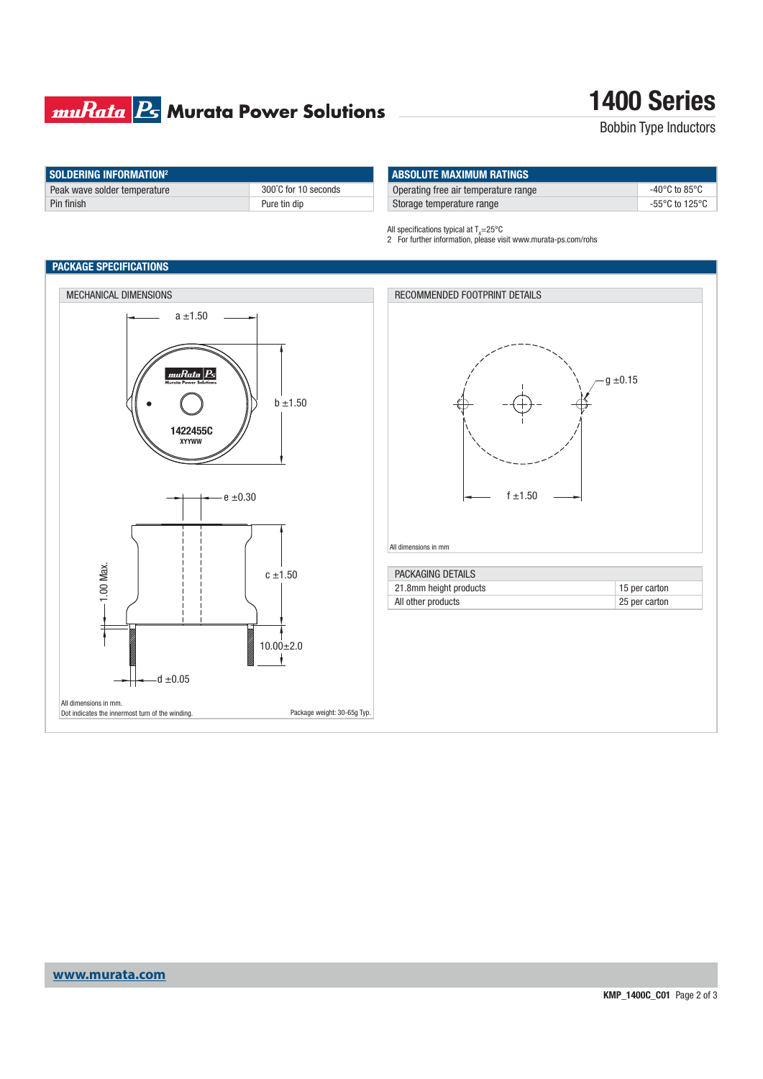### **muRata B** Murata Power Solutions

## **1400 Series**

Bobbin Type Inductors

| SOLDERING INFORMATION <sup>2</sup> |                      |
|------------------------------------|----------------------|
| Peak wave solder temperature       | 300°C for 10 seconds |
| Pin finish                         | Pure tin dip         |

| <b>ABSOLUTE MAXIMUM RATINGS</b>      |                                                      |
|--------------------------------------|------------------------------------------------------|
| Operating free air temperature range | -40°C to 85°C                                        |
| Storage temperature range            | -55 $\mathrm{^{\circ}C}$ to 125 $\mathrm{^{\circ}C}$ |

All specifications typical at  $T_{\text{A}}$ =25°C

2 For further information, please visit www.murata-ps.com/rohs

### **PACKAGE SPECIFICATIONS**